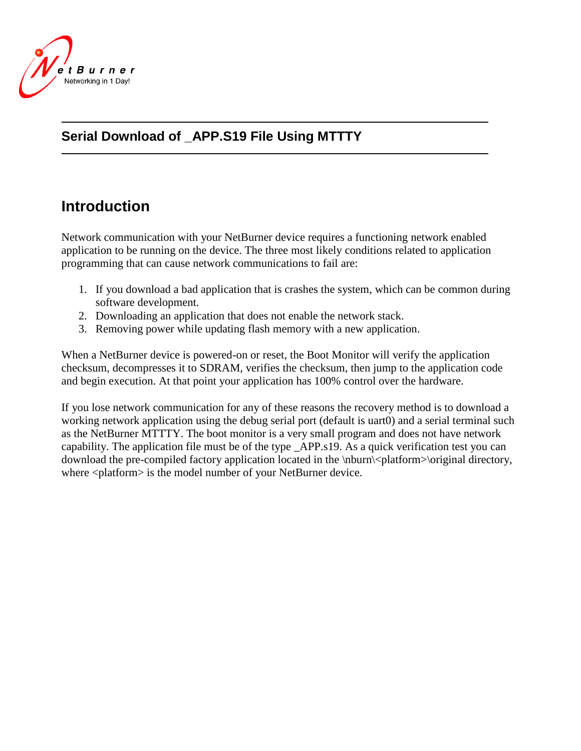

### **Serial Download of \_APP.S19 File Using MTTTY**

## **Introduction**

Network communication with your NetBurner device requires a functioning network enabled application to be running on the device. The three most likely conditions related to application programming that can cause network communications to fail are:

- 1. If you download a bad application that is crashes the system, which can be common during software development.
- 2. Downloading an application that does not enable the network stack.
- 3. Removing power while updating flash memory with a new application.

When a NetBurner device is powered-on or reset, the Boot Monitor will verify the application checksum, decompresses it to SDRAM, verifies the checksum, then jump to the application code and begin execution. At that point your application has 100% control over the hardware.

If you lose network communication for any of these reasons the recovery method is to download a working network application using the debug serial port (default is uart0) and a serial terminal such as the NetBurner MTTTY. The boot monitor is a very small program and does not have network capability. The application file must be of the type \_APP.s19. As a quick verification test you can download the pre-compiled factory application located in the \nburn\<platform>\original directory, where <platform> is the model number of your NetBurner device.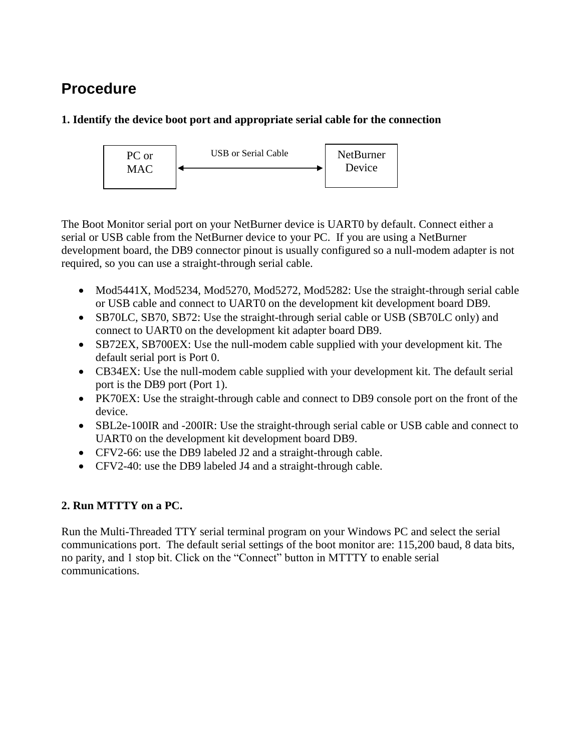# **Procedure**

#### **1. Identify the device boot port and appropriate serial cable for the connection**



The Boot Monitor serial port on your NetBurner device is UART0 by default. Connect either a serial or USB cable from the NetBurner device to your PC. If you are using a NetBurner development board, the DB9 connector pinout is usually configured so a null-modem adapter is not required, so you can use a straight-through serial cable.

- Mod5441X, Mod5234, Mod5270, Mod5272, Mod5282: Use the straight-through serial cable or USB cable and connect to UART0 on the development kit development board DB9.
- SB70LC, SB70, SB72: Use the straight-through serial cable or USB (SB70LC only) and connect to UART0 on the development kit adapter board DB9.
- SB72EX, SB700EX: Use the null-modem cable supplied with your development kit. The default serial port is Port 0.
- CB34EX: Use the null-modem cable supplied with your development kit. The default serial port is the DB9 port (Port 1).
- PK70EX: Use the straight-through cable and connect to DB9 console port on the front of the device.
- SBL2e-100IR and -200IR: Use the straight-through serial cable or USB cable and connect to UART0 on the development kit development board DB9.
- CFV2-66: use the DB9 labeled J2 and a straight-through cable.
- CFV2-40: use the DB9 labeled J4 and a straight-through cable.

### **2. Run MTTTY on a PC.**

Run the Multi-Threaded TTY serial terminal program on your Windows PC and select the serial communications port. The default serial settings of the boot monitor are: 115,200 baud, 8 data bits, no parity, and 1 stop bit. Click on the "Connect" button in MTTTY to enable serial communications.